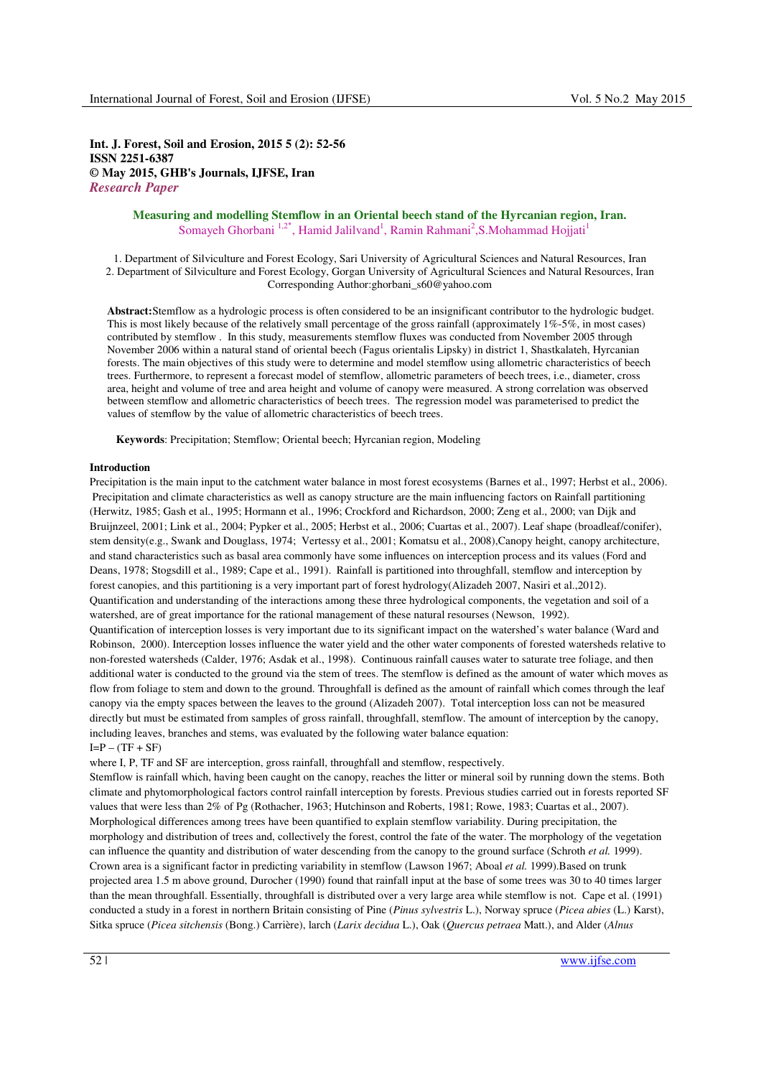**Int. J. Forest, Soil and Erosion, 2015 5 (2): 52-56 ISSN 2251-6387 © May 2015, GHB's Journals, IJFSE, Iran**  *Research Paper* 

# **Measuring and modelling Stemflow in an Oriental beech stand of the Hyrcanian region, Iran.**  Somayeh Ghorbani<sup>1,2</sup>\*, Hamid Jalilvand<sup>1</sup>, Ramin Rahmani<sup>2</sup>, S.Mohammad Hojjati<sup>1</sup>

1. Department of Silviculture and Forest Ecology, Sari University of Agricultural Sciences and Natural Resources, Iran 2. Department of Silviculture and Forest Ecology, Gorgan University of Agricultural Sciences and Natural Resources, Iran Corresponding Author:ghorbani\_s60@yahoo.com

**Abstract:**Stemflow as a hydrologic process is often considered to be an insignificant contributor to the hydrologic budget. This is most likely because of the relatively small percentage of the gross rainfall (approximately 1%-5%, in most cases) contributed by stemflow . In this study, measurements stemflow fluxes was conducted from November 2005 through November 2006 within a natural stand of oriental beech (Fagus orientalis Lipsky) in district 1, Shastkalateh, Hyrcanian forests. The main objectives of this study were to determine and model stemflow using allometric characteristics of beech trees. Furthermore, to represent a forecast model of stemflow, allometric parameters of beech trees, i.e., diameter, cross area, height and volume of tree and area height and volume of canopy were measured. A strong correlation was observed between stemflow and allometric characteristics of beech trees. The regression model was parameterised to predict the values of stemflow by the value of allometric characteristics of beech trees.

**Keywords**: Precipitation; Stemflow; Oriental beech; Hyrcanian region, Modeling

### **Introduction**

Precipitation is the main input to the catchment water balance in most forest ecosystems (Barnes et al., 1997; Herbst et al., 2006). Precipitation and climate characteristics as well as canopy structure are the main influencing factors on Rainfall partitioning (Herwitz, 1985; Gash et al., 1995; Hormann et al., 1996; Crockford and Richardson, 2000; Zeng et al., 2000; van Dijk and Bruijnzeel, 2001; Link et al., 2004; Pypker et al., 2005; Herbst et al., 2006; Cuartas et al., 2007). Leaf shape (broadleaf/conifer), stem density(e.g., Swank and Douglass, 1974; Vertessy et al., 2001; Komatsu et al., 2008),Canopy height, canopy architecture, and stand characteristics such as basal area commonly have some influences on interception process and its values (Ford and Deans, 1978; Stogsdill et al., 1989; Cape et al., 1991). Rainfall is partitioned into throughfall, stemflow and interception by forest canopies, and this partitioning is a very important part of forest hydrology(Alizadeh 2007, Nasiri et al.,2012). Quantification and understanding of the interactions among these three hydrological components, the vegetation and soil of a watershed, are of great importance for the rational management of these natural resourses (Newson, 1992). Quantification of interception losses is very important due to its significant impact on the watershed's water balance (Ward and

Robinson, 2000). Interception losses influence the water yield and the other water components of forested watersheds relative to non-forested watersheds (Calder, 1976; Asdak et al., 1998). Continuous rainfall causes water to saturate tree foliage, and then additional water is conducted to the ground via the stem of trees. The stemflow is defined as the amount of water which moves as flow from foliage to stem and down to the ground. Throughfall is defined as the amount of rainfall which comes through the leaf canopy via the empty spaces between the leaves to the ground (Alizadeh 2007). Total interception loss can not be measured directly but must be estimated from samples of gross rainfall, throughfall, stemflow. The amount of interception by the canopy, including leaves, branches and stems, was evaluated by the following water balance equation:

 $I = P - (TF + SF)$ 

where I, P, TF and SF are interception, gross rainfall, throughfall and stemflow, respectively.

Stemflow is rainfall which, having been caught on the canopy, reaches the litter or mineral soil by running down the stems. Both climate and phytomorphological factors control rainfall interception by forests. Previous studies carried out in forests reported SF values that were less than 2% of Pg (Rothacher, 1963; Hutchinson and Roberts, 1981; Rowe, 1983; Cuartas et al., 2007). Morphological differences among trees have been quantified to explain stemflow variability. During precipitation, the morphology and distribution of trees and, collectively the forest, control the fate of the water. The morphology of the vegetation can influence the quantity and distribution of water descending from the canopy to the ground surface (Schroth *et al.* 1999). Crown area is a significant factor in predicting variability in stemflow (Lawson 1967; Aboal *et al.* 1999).Based on trunk projected area 1.5 m above ground, Durocher (1990) found that rainfall input at the base of some trees was 30 to 40 times larger than the mean throughfall. Essentially, throughfall is distributed over a very large area while stemflow is not. Cape et al. (1991) conducted a study in a forest in northern Britain consisting of Pine (*Pinus sylvestris* L.), Norway spruce (*Picea abies* (L.) Karst), Sitka spruce (*Picea sitchensis* (Bong.) Carrière), larch (*Larix decidua* L.), Oak (*Quercus petraea* Matt.), and Alder (*Alnus*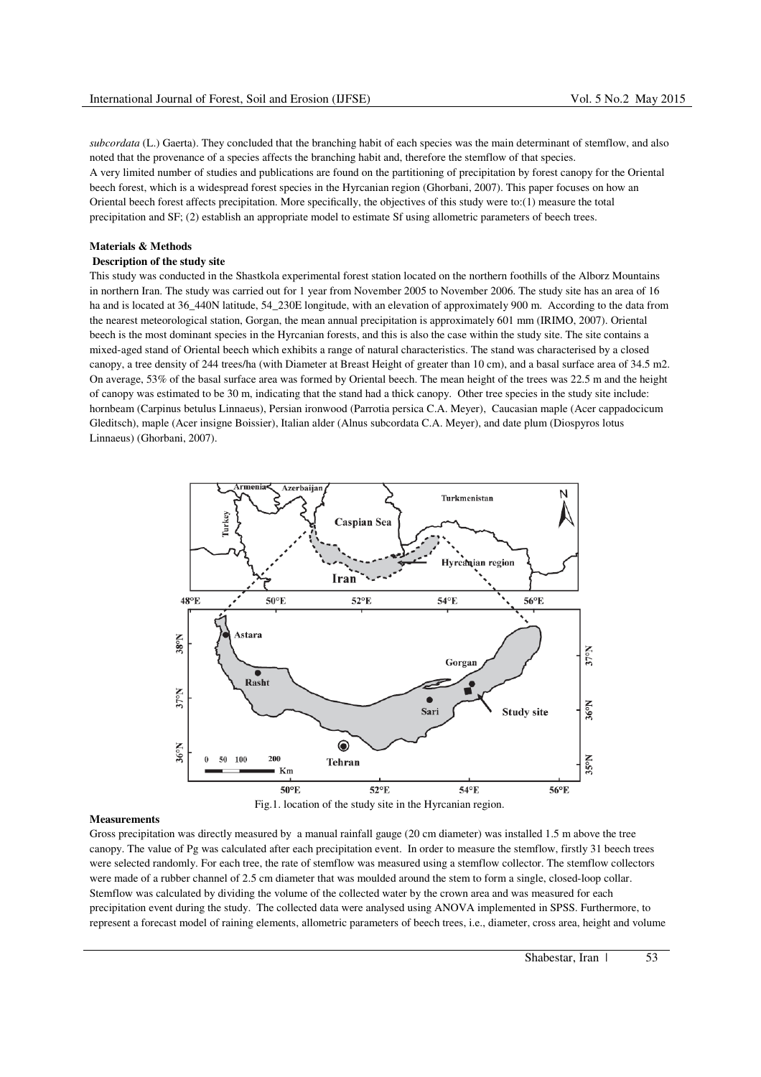*subcordata* (L.) Gaerta). They concluded that the branching habit of each species was the main determinant of stemflow, and also noted that the provenance of a species affects the branching habit and, therefore the stemflow of that species. A very limited number of studies and publications are found on the partitioning of precipitation by forest canopy for the Oriental beech forest, which is a widespread forest species in the Hyrcanian region (Ghorbani, 2007). This paper focuses on how an Oriental beech forest affects precipitation. More specifically, the objectives of this study were to:(1) measure the total precipitation and SF; (2) establish an appropriate model to estimate Sf using allometric parameters of beech trees.

### **Materials & Methods Description of the study site**

This study was conducted in the Shastkola experimental forest station located on the northern foothills of the Alborz Mountains in northern Iran. The study was carried out for 1 year from November 2005 to November 2006. The study site has an area of 16 ha and is located at 36-440N latitude, 54-230E longitude, with an elevation of approximately 900 m. According to the data from the nearest meteorological station, Gorgan, the mean annual precipitation is approximately 601 mm (IRIMO, 2007). Oriental beech is the most dominant species in the Hyrcanian forests, and this is also the case within the study site. The site contains a mixed-aged stand of Oriental beech which exhibits a range of natural characteristics. The stand was characterised by a closed canopy, a tree density of 244 trees/ha (with Diameter at Breast Height of greater than 10 cm), and a basal surface area of 34.5 m2. On average, 53% of the basal surface area was formed by Oriental beech. The mean height of the trees was 22.5 m and the height of canopy was estimated to be 30 m, indicating that the stand had a thick canopy. Other tree species in the study site include: hornbeam (Carpinus betulus Linnaeus), Persian ironwood (Parrotia persica C.A. Meyer), Caucasian maple (Acer cappadocicum Gleditsch), maple (Acer insigne Boissier), Italian alder (Alnus subcordata C.A. Meyer), and date plum (Diospyros lotus Linnaeus) (Ghorbani, 2007).



#### **Measurements**

Gross precipitation was directly measured by a manual rainfall gauge (20 cm diameter) was installed 1.5 m above the tree canopy. The value of Pg was calculated after each precipitation event. In order to measure the stemflow, firstly 31 beech trees were selected randomly. For each tree, the rate of stemflow was measured using a stemflow collector. The stemflow collectors were made of a rubber channel of 2.5 cm diameter that was moulded around the stem to form a single, closed-loop collar. Stemflow was calculated by dividing the volume of the collected water by the crown area and was measured for each precipitation event during the study. The collected data were analysed using ANOVA implemented in SPSS. Furthermore, to represent a forecast model of raining elements, allometric parameters of beech trees, i.e., diameter, cross area, height and volume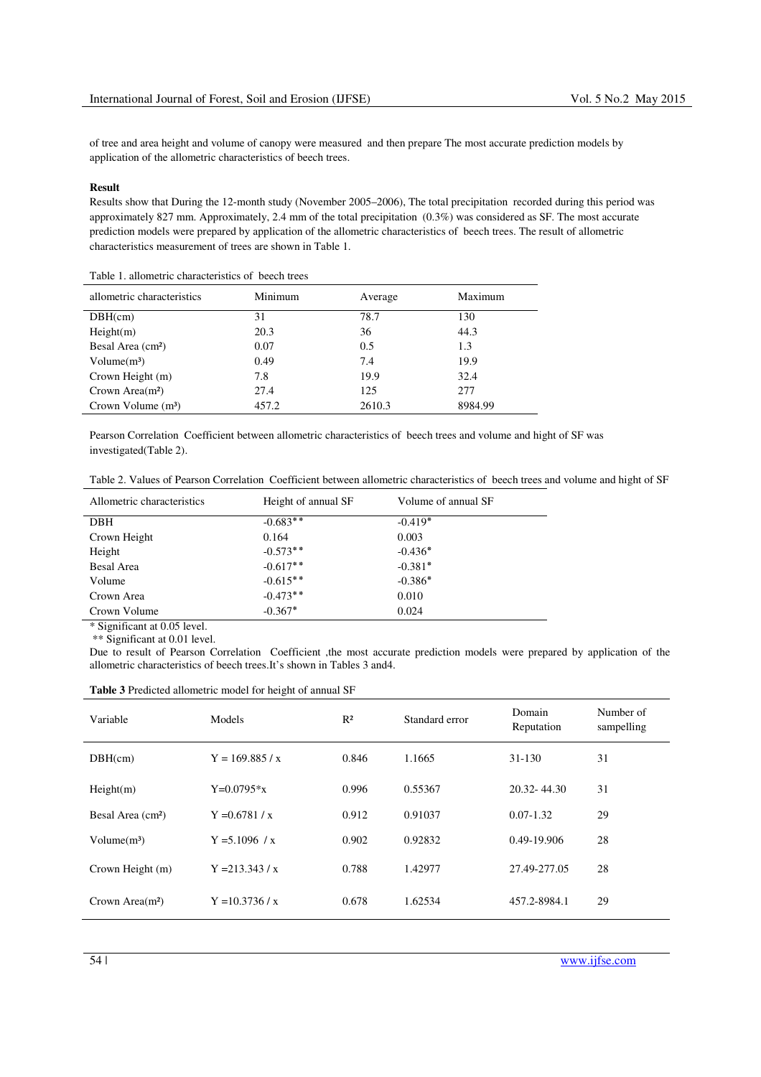of tree and area height and volume of canopy were measured and then prepare The most accurate prediction models by application of the allometric characteristics of beech trees.

## **Result**

Results show that During the 12-month study (November 2005–2006), The total precipitation recorded during this period was approximately 827 mm. Approximately, 2.4 mm of the total precipitation (0.3%) was considered as SF. The most accurate prediction models were prepared by application of the allometric characteristics of beech trees. The result of allometric characteristics measurement of trees are shown in Table 1.

| Table 1. anometric characteristics of beech nees |         |         |         |  |
|--------------------------------------------------|---------|---------|---------|--|
| allometric characteristics                       | Minimum | Average | Maximum |  |
| DBH(cm)                                          | 31      | 78.7    | 130     |  |
| Height(m)                                        | 20.3    | 36      | 44.3    |  |
| Besal Area (cm <sup>2</sup> )                    | 0.07    | 0.5     | 1.3     |  |
| Volume(m <sup>3</sup> )                          | 0.49    | 7.4     | 19.9    |  |
| Crown Height (m)                                 | 7.8     | 19.9    | 32.4    |  |
| Crown Area $(m2)$                                | 27.4    | 125     | 277     |  |
| Crown Volume $(m3)$                              | 457.2   | 2610.3  | 8984.99 |  |

Table 1. allometric characteristics of beech trees

Pearson Correlation Coefficient between allometric characteristics of beech trees and volume and hight of SF was investigated(Table 2).

| Table 2. Values of Pearson Correlation Coefficient between allometric characteristics of beech trees and volume and hight of SF |  |  |  |
|---------------------------------------------------------------------------------------------------------------------------------|--|--|--|
|                                                                                                                                 |  |  |  |

| Allometric characteristics | Height of annual SF | Volume of annual SF |
|----------------------------|---------------------|---------------------|
| <b>DBH</b>                 | $-0.683**$          | $-0.419*$           |
| Crown Height               | 0.164               | 0.003               |
| Height                     | $-0.573**$          | $-0.436*$           |
| <b>Besal Area</b>          | $-0.617**$          | $-0.381*$           |
| Volume                     | $-0.615**$          | $-0.386*$           |
| Crown Area                 | $-0.473**$          | 0.010               |
| Crown Volume               | $-0.367*$           | 0.024               |

\* Significant at 0.05 level.

\*\* Significant at 0.01 level.

Due to result of Pearson Correlation Coefficient ,the most accurate prediction models were prepared by application of the allometric characteristics of beech trees.It's shown in Tables 3 and4.

## **Table 3** Predicted allometric model for height of annual SF

| Variable                      | Models            | R <sup>2</sup> | Standard error | Domain<br>Reputation | Number of<br>sampelling |
|-------------------------------|-------------------|----------------|----------------|----------------------|-------------------------|
| DBH(cm)                       | $Y = 169.885 / x$ | 0.846          | 1.1665         | $31 - 130$           | 31                      |
| Height(m)                     | $Y=0.0795*x$      | 0.996          | 0.55367        | $20.32 - 44.30$      | 31                      |
| Besal Area (cm <sup>2</sup> ) | $Y = 0.6781 / x$  | 0.912          | 0.91037        | $0.07 - 1.32$        | 29                      |
| Volume(m <sup>3</sup> )       | $Y = 5.1096 / x$  | 0.902          | 0.92832        | 0.49-19.906          | 28                      |
| Crown Height (m)              | $Y = 213.343 / x$ | 0.788          | 1.42977        | 27.49-277.05         | 28                      |
| Crown Area $(m2)$             | $Y = 10.3736 / x$ | 0.678          | 1.62534        | 457.2-8984.1         | 29                      |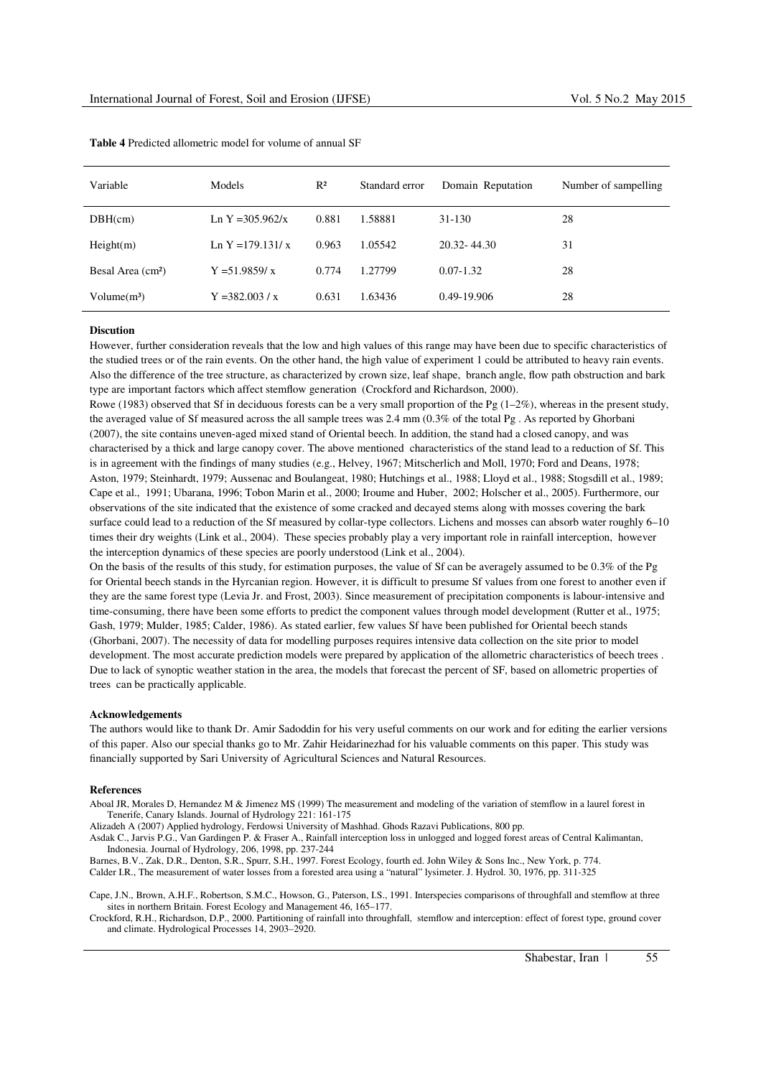| Variable                      | <b>Models</b>       | $R^2$ | Standard error | Domain Reputation | Number of sampelling |
|-------------------------------|---------------------|-------|----------------|-------------------|----------------------|
| DBH(cm)                       | Ln Y = 305.962/x    | 0.881 | 1.58881        | 31-130            | 28                   |
| Height(m)                     | Ln Y = 179.131/ $x$ | 0.963 | 1.05542        | $20.32 - 44.30$   | 31                   |
| Besal Area (cm <sup>2</sup> ) | $Y = 51.9859/x$     | 0.774 | 1.27799        | $0.07 - 1.32$     | 28                   |
| Volume(m <sup>3</sup> )       | $Y = 382.003 / x$   | 0.631 | 1.63436        | 0.49-19.906       | 28                   |

**Table 4** Predicted allometric model for volume of annual SF

### **Discution**

However, further consideration reveals that the low and high values of this range may have been due to specific characteristics of the studied trees or of the rain events. On the other hand, the high value of experiment 1 could be attributed to heavy rain events. Also the difference of the tree structure, as characterized by crown size, leaf shape, branch angle, flow path obstruction and bark type are important factors which affect stemflow generation (Crockford and Richardson, 2000).

Rowe (1983) observed that Sf in deciduous forests can be a very small proportion of the Pg  $(1-2\%)$ , whereas in the present study, the averaged value of Sf measured across the all sample trees was 2.4 mm (0.3% of the total Pg . As reported by Ghorbani (2007), the site contains uneven-aged mixed stand of Oriental beech. In addition, the stand had a closed canopy, and was characterised by a thick and large canopy cover. The above mentioned characteristics of the stand lead to a reduction of Sf. This is in agreement with the findings of many studies (e.g., Helvey, 1967; Mitscherlich and Moll, 1970; Ford and Deans, 1978; Aston, 1979; Steinhardt, 1979; Aussenac and Boulangeat, 1980; Hutchings et al., 1988; Lloyd et al., 1988; Stogsdill et al., 1989; Cape et al., 1991; Ubarana, 1996; Tobon Marin et al., 2000; Iroume and Huber, 2002; Holscher et al., 2005). Furthermore, our observations of the site indicated that the existence of some cracked and decayed stems along with mosses covering the bark surface could lead to a reduction of the Sf measured by collar-type collectors. Lichens and mosses can absorb water roughly 6–10 times their dry weights (Link et al., 2004). These species probably play a very important role in rainfall interception, however the interception dynamics of these species are poorly understood (Link et al., 2004).

On the basis of the results of this study, for estimation purposes, the value of Sf can be averagely assumed to be 0.3% of the Pg for Oriental beech stands in the Hyrcanian region. However, it is difficult to presume Sf values from one forest to another even if they are the same forest type (Levia Jr. and Frost, 2003). Since measurement of precipitation components is labour-intensive and time-consuming, there have been some efforts to predict the component values through model development (Rutter et al., 1975; Gash, 1979; Mulder, 1985; Calder, 1986). As stated earlier, few values Sf have been published for Oriental beech stands (Ghorbani, 2007). The necessity of data for modelling purposes requires intensive data collection on the site prior to model development. The most accurate prediction models were prepared by application of the allometric characteristics of beech trees . Due to lack of synoptic weather station in the area, the models that forecast the percent of SF, based on allometric properties of trees can be practically applicable.

#### **Acknowledgements**

The authors would like to thank Dr. Amir Sadoddin for his very useful comments on our work and for editing the earlier versions of this paper. Also our special thanks go to Mr. Zahir Heidarinezhad for his valuable comments on this paper. This study was financially supported by Sari University of Agricultural Sciences and Natural Resources.

### **References**

Aboal JR, Morales D, Hernandez M & Jimenez MS (1999) The measurement and modeling of the variation of stemflow in a laurel forest in Tenerife, Canary Islands. Journal of Hydrology 221: 161-175

Alizadeh A (2007) Applied hydrology, Ferdowsi University of Mashhad. Ghods Razavi Publications, 800 pp.

Asdak C., Jarvis P.G., Van Gardingen P. & Fraser A., Rainfall interception loss in unlogged and logged forest areas of Central Kalimantan, Indonesia. Journal of Hydrology, 206, 1998, pp. 237-244

Barnes, B.V., Zak, D.R., Denton, S.R., Spurr, S.H., 1997. Forest Ecology, fourth ed. John Wiley & Sons Inc., New York, p. 774. Calder I.R., The measurement of water losses from a forested area using a "natural" lysimeter. J. Hydrol. 30, 1976, pp. 311-325

Cape, J.N., Brown, A.H.F., Robertson, S.M.C., Howson, G., Paterson, I.S., 1991. Interspecies comparisons of throughfall and stemflow at three sites in northern Britain. Forest Ecology and Management 46, 165–177.

Crockford, R.H., Richardson, D.P., 2000. Partitioning of rainfall into throughfall, stemflow and interception: effect of forest type, ground cover and climate. Hydrological Processes 14, 2903–2920.